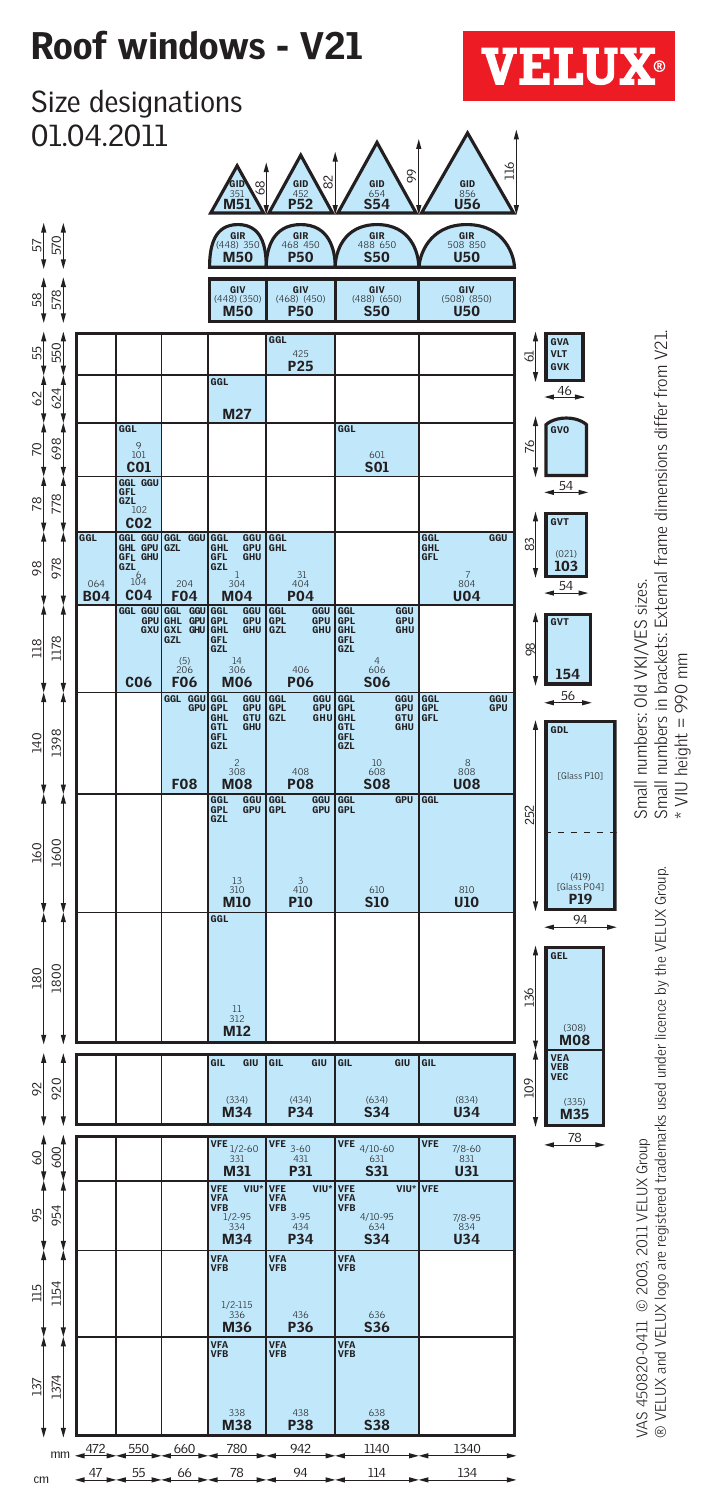# Roof windows - V21



Size designations 01.04.2011